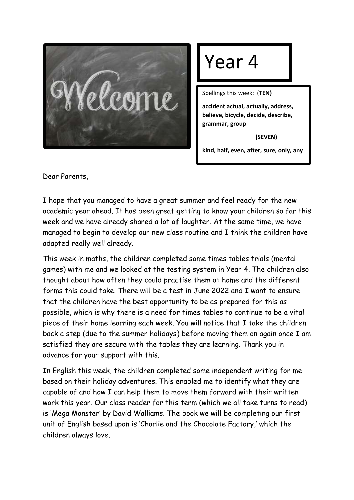

## Year 4

Spellings this week: (**TEN)**

**accident actual, actually, address, believe, bicycle, decide, describe, grammar, group**

 **(SEVEN)**

**kind, half, even, after, sure, only, any**

Dear Parents,

I hope that you managed to have a great summer and feel ready for the new academic year ahead. It has been great getting to know your children so far this week and we have already shared a lot of laughter. At the same time, we have managed to begin to develop our new class routine and I think the children have adapted really well already.

This week in maths, the children completed some times tables trials (mental games) with me and we looked at the testing system in Year 4. The children also thought about how often they could practise them at home and the different forms this could take. There will be a test in June 2022 and I want to ensure that the children have the best opportunity to be as prepared for this as possible, which is why there is a need for times tables to continue to be a vital piece of their home learning each week. You will notice that I take the children back a step (due to the summer holidays) before moving them on again once I am satisfied they are secure with the tables they are learning. Thank you in advance for your support with this.

In English this week, the children completed some independent writing for me based on their holiday adventures. This enabled me to identify what they are capable of and how I can help them to move them forward with their written work this year. Our class reader for this term (which we all take turns to read) is 'Mega Monster' by David Walliams. The book we will be completing our first unit of English based upon is 'Charlie and the Chocolate Factory,' which the children always love.